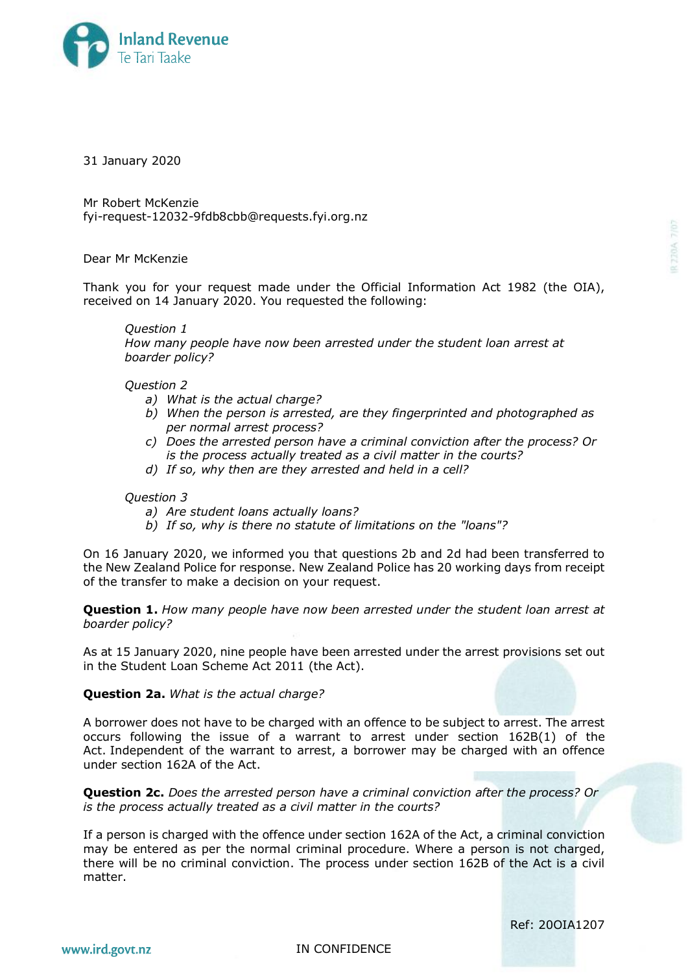

31 January 2020

Mr Robert McKenzie fyi-request-12032-9fdb8cbb@requests.fyi.org.nz

Dear Mr McKenzie

Thank you for your request made under the Official Information Act 1982 (the OIA), received on 14 January 2020. You requested the following:

*Question 1*

*How many people have now been arrested under the student loan arrest at boarder policy?*

*Question 2*

- *a) What is the actual charge?*
- *b) When the person is arrested, are they fingerprinted and photographed as per normal arrest process?*
- *c) Does the arrested person have a criminal conviction after the process? Or is the process actually treated as a civil matter in the courts?*
- *d) If so, why then are they arrested and held in a cell?*

## *Question 3*

- *a) Are student loans actually loans?*
- *b) If so, why is there no statute of limitations on the "loans"?*

On 16 January 2020, we informed you that questions 2b and 2d had been transferred to the New Zealand Police for response. New Zealand Police has 20 working days from receipt of the transfer to make a decision on your request.

**Question 1.** *How many people have now been arrested under the student loan arrest at boarder policy?*

As at 15 January 2020, nine people have been arrested under the arrest provisions set out in the Student Loan Scheme Act 2011 (the Act).

**Question 2a.** *What is the actual charge?*

A borrower does not have to be charged with an offence to be subject to arrest. The arrest occurs following the issue of a warrant to arrest under section 162B(1) of the Act. Independent of the warrant to arrest, a borrower may be charged with an offence under section 162A of the Act.

**Question 2c.** *Does the arrested person have a criminal conviction after the process? Or is the process actually treated as a civil matter in the courts?*

If a person is charged with the offence under section 162A of the Act, a criminal conviction may be entered as per the normal criminal procedure. Where a person is not charged, there will be no criminal conviction. The process under section 162B of the Act is a civil matter.

Ref: 20OIA1207